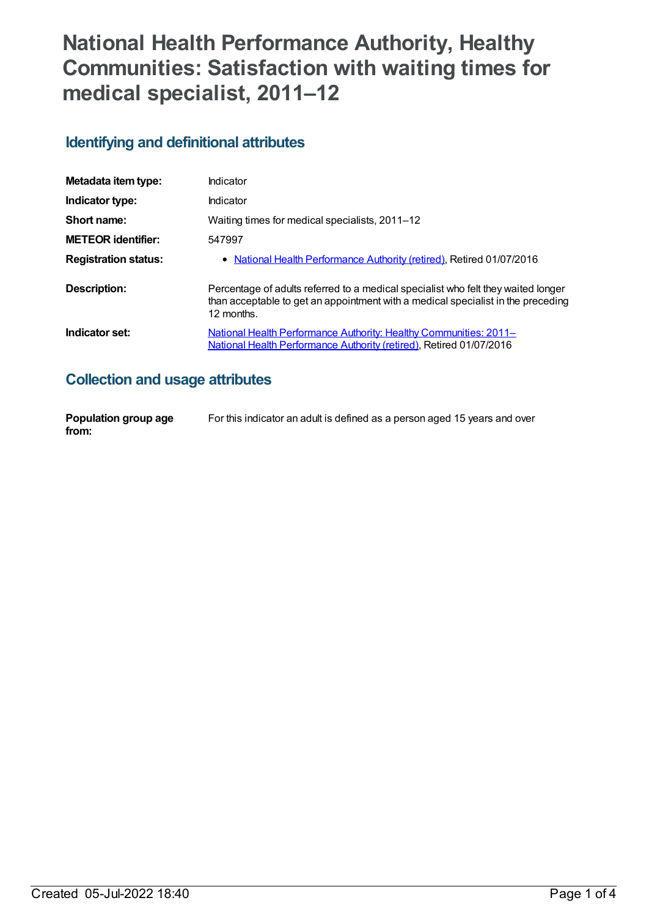# **National Health Performance Authority, Healthy Communities: Satisfaction with waiting times for medical specialist, 2011–12**

## **Identifying and definitional attributes**

| Metadata item type:         | Indicator                                                                                                                                                                           |
|-----------------------------|-------------------------------------------------------------------------------------------------------------------------------------------------------------------------------------|
| Indicator type:             | Indicator                                                                                                                                                                           |
| Short name:                 | Waiting times for medical specialists, 2011-12                                                                                                                                      |
| <b>METEOR identifier:</b>   | 547997                                                                                                                                                                              |
| <b>Registration status:</b> | • National Health Performance Authority (retired), Retired 01/07/2016                                                                                                               |
| Description:                | Percentage of adults referred to a medical specialist who felt they waited longer<br>than acceptable to get an appointment with a medical specialist in the preceding<br>12 months. |
| Indicator set:              | <b>National Health Performance Authority: Healthy Communities: 2011–</b><br>National Health Performance Authority (retired), Retired 01/07/2016                                     |

## **Collection and usage attributes**

| Population group age | For this indicator an adult is defined as a person aged 15 years and over |
|----------------------|---------------------------------------------------------------------------|
| from:                |                                                                           |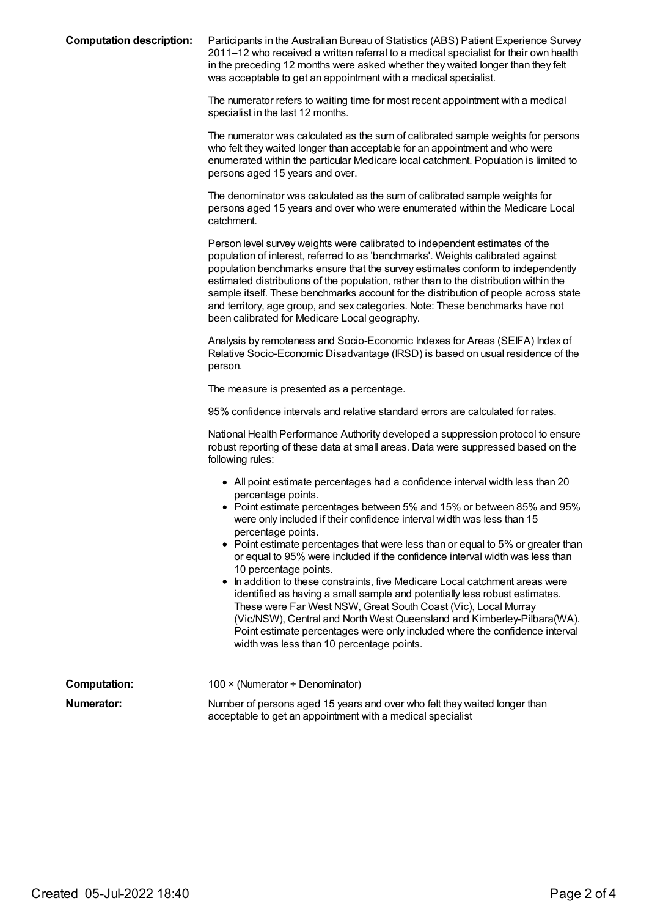| <b>Computation description:</b> | Participants in the Australian Bureau of Statistics (ABS) Patient Experience Survey<br>2011–12 who received a written referral to a medical specialist for their own health<br>in the preceding 12 months were asked whether they waited longer than they felt<br>was acceptable to get an appointment with a medical specialist.                                                                                                                                                                                                                                   |
|---------------------------------|---------------------------------------------------------------------------------------------------------------------------------------------------------------------------------------------------------------------------------------------------------------------------------------------------------------------------------------------------------------------------------------------------------------------------------------------------------------------------------------------------------------------------------------------------------------------|
|                                 | The numerator refers to waiting time for most recent appointment with a medical<br>specialist in the last 12 months.                                                                                                                                                                                                                                                                                                                                                                                                                                                |
|                                 | The numerator was calculated as the sum of calibrated sample weights for persons<br>who felt they waited longer than acceptable for an appointment and who were<br>enumerated within the particular Medicare local catchment. Population is limited to<br>persons aged 15 years and over.                                                                                                                                                                                                                                                                           |
|                                 | The denominator was calculated as the sum of calibrated sample weights for<br>persons aged 15 years and over who were enumerated within the Medicare Local<br>catchment.                                                                                                                                                                                                                                                                                                                                                                                            |
|                                 | Person level survey weights were calibrated to independent estimates of the<br>population of interest, referred to as 'benchmarks'. Weights calibrated against<br>population benchmarks ensure that the survey estimates conform to independently<br>estimated distributions of the population, rather than to the distribution within the<br>sample itself. These benchmarks account for the distribution of people across state<br>and territory, age group, and sex categories. Note: These benchmarks have not<br>been calibrated for Medicare Local geography. |
|                                 | Analysis by remoteness and Socio-Economic Indexes for Areas (SEIFA) Index of<br>Relative Socio-Economic Disadvantage (IRSD) is based on usual residence of the<br>person.                                                                                                                                                                                                                                                                                                                                                                                           |
|                                 | The measure is presented as a percentage.                                                                                                                                                                                                                                                                                                                                                                                                                                                                                                                           |
|                                 | 95% confidence intervals and relative standard errors are calculated for rates.                                                                                                                                                                                                                                                                                                                                                                                                                                                                                     |
|                                 | National Health Performance Authority developed a suppression protocol to ensure<br>robust reporting of these data at small areas. Data were suppressed based on the<br>following rules:                                                                                                                                                                                                                                                                                                                                                                            |
|                                 | • All point estimate percentages had a confidence interval width less than 20                                                                                                                                                                                                                                                                                                                                                                                                                                                                                       |
|                                 | percentage points.<br>• Point estimate percentages between 5% and 15% or between 85% and 95%<br>were only included if their confidence interval width was less than 15<br>percentage points.                                                                                                                                                                                                                                                                                                                                                                        |
|                                 | • Point estimate percentages that were less than or equal to 5% or greater than<br>or equal to 95% were included if the confidence interval width was less than<br>10 percentage points.                                                                                                                                                                                                                                                                                                                                                                            |
|                                 | In addition to these constraints, five Medicare Local catchment areas were<br>identified as having a small sample and potentially less robust estimates.<br>These were Far West NSW, Great South Coast (Vic), Local Murray<br>(Vic/NSW), Central and North West Queensland and Kimberley-Pilbara(WA).<br>Point estimate percentages were only included where the confidence interval<br>width was less than 10 percentage points.                                                                                                                                   |
| <b>Computation:</b>             | 100 × (Numerator ÷ Denominator)                                                                                                                                                                                                                                                                                                                                                                                                                                                                                                                                     |
| <b>Numerator:</b>               | Number of persons aged 15 years and over who felt they waited longer than<br>acceptable to get an appointment with a medical specialist                                                                                                                                                                                                                                                                                                                                                                                                                             |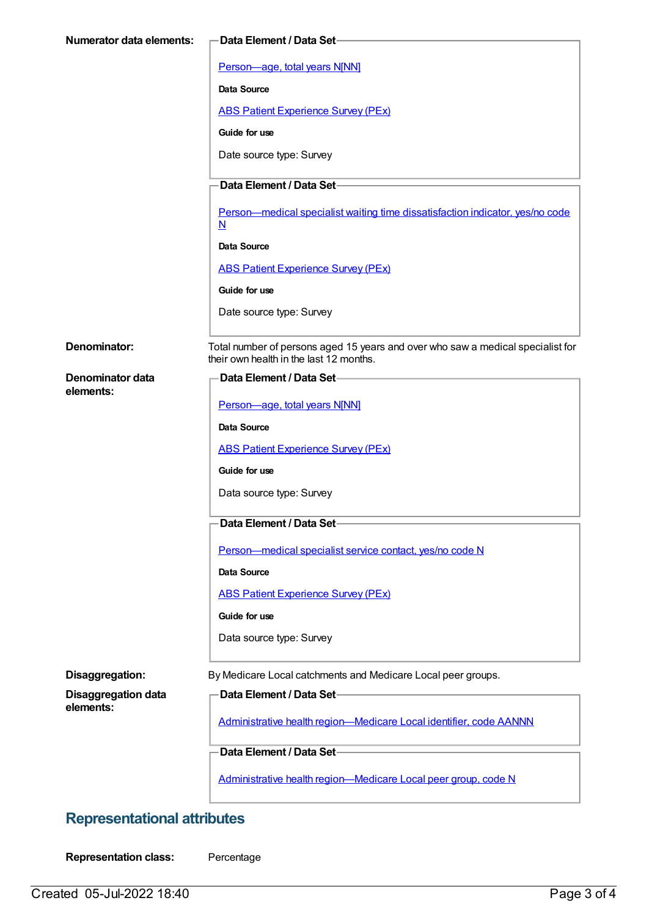| <b>Numerator data elements:</b>      | <b>Data Element / Data Set-</b>                                                                                            |  |
|--------------------------------------|----------------------------------------------------------------------------------------------------------------------------|--|
|                                      | Person-age, total years N[NN]                                                                                              |  |
|                                      | Data Source                                                                                                                |  |
|                                      | <b>ABS Patient Experience Survey (PEx)</b>                                                                                 |  |
|                                      | Guide for use                                                                                                              |  |
|                                      | Date source type: Survey                                                                                                   |  |
|                                      | Data Element / Data Set-                                                                                                   |  |
|                                      | Person-medical specialist waiting time dissatisfaction indicator, yes/no code<br>$\underline{\mathsf{N}}$                  |  |
|                                      | Data Source                                                                                                                |  |
|                                      | <b>ABS Patient Experience Survey (PEx)</b>                                                                                 |  |
|                                      | Guide for use                                                                                                              |  |
|                                      | Date source type: Survey                                                                                                   |  |
| Denominator:                         | Total number of persons aged 15 years and over who saw a medical specialist for<br>their own health in the last 12 months. |  |
| <b>Denominator data</b><br>elements: | Data Element / Data Set-                                                                                                   |  |
|                                      | Person-age, total years N[NN]                                                                                              |  |
|                                      | <b>Data Source</b>                                                                                                         |  |
|                                      | <b>ABS Patient Experience Survey (PEx)</b>                                                                                 |  |
|                                      | Guide for use                                                                                                              |  |
|                                      | Data source type: Survey                                                                                                   |  |
|                                      | Data Element / Data Set-                                                                                                   |  |
|                                      | Person-medical specialist service contact, yes/no code N                                                                   |  |
|                                      | Data Source                                                                                                                |  |
|                                      | <b>ABS Patient Experience Survey (PEx)</b>                                                                                 |  |
|                                      | Guide for use                                                                                                              |  |
|                                      | Data source type: Survey                                                                                                   |  |
| Disaggregation:                      | By Medicare Local catchments and Medicare Local peer groups.                                                               |  |
| <b>Disaggregation data</b>           | Data Element / Data Set-                                                                                                   |  |
| elements:                            | Administrative health region-Medicare Local identifier, code AANNN                                                         |  |
|                                      | Data Element / Data Set-                                                                                                   |  |
|                                      | Administrative health region-Medicare Local peer group, code N                                                             |  |

## **Representational attributes**

**Representation class:** Percentage